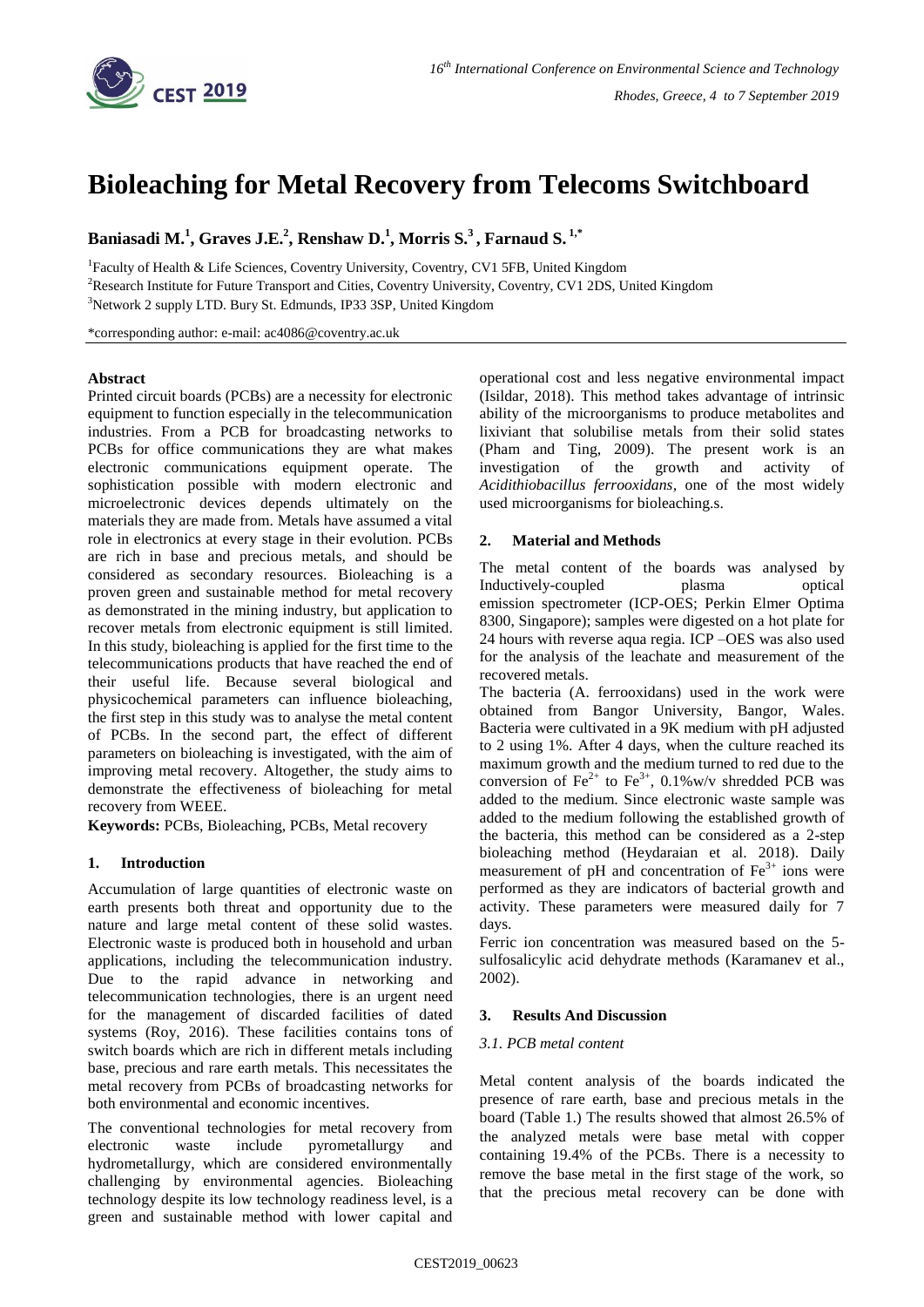

# **Bioleaching for Metal Recovery from Telecoms Switchboard**

## **Baniasadi M.<sup>1</sup> , Graves J.E.<sup>2</sup> , Renshaw D. 1 , Morris S. 3 , Farnaud S. 1,\***

<sup>1</sup>Faculty of Health & Life Sciences, Coventry University, Coventry, CV1 5FB, United Kingdom <sup>2</sup>Research Institute for Future Transport and Cities, Coventry University, Coventry, CV1 2DS, United Kingdom <sup>3</sup>Network 2 supply LTD. Bury St. Edmunds, IP33 3SP, United Kingdom

\*corresponding author: e-mail: [ac4086@coventry.ac.uk](mailto:ac4086@coventry.ac.uk)

#### **Abstract**

Printed circuit boards (PCBs) are a necessity for electronic equipment to function especially in the telecommunication industries. From a PCB for broadcasting networks to PCBs for office communications they are what makes electronic communications equipment operate. The sophistication possible with modern electronic and microelectronic devices depends ultimately on the materials they are made from. Metals have assumed a vital role in electronics at every stage in their evolution. PCBs are rich in base and precious metals, and should be considered as secondary resources. Bioleaching is a proven green and sustainable method for metal recovery as demonstrated in the mining industry, but application to recover metals from electronic equipment is still limited. In this study, bioleaching is applied for the first time to the telecommunications products that have reached the end of their useful life. Because several biological and physicochemical parameters can influence bioleaching, the first step in this study was to analyse the metal content of PCBs. In the second part, the effect of different parameters on bioleaching is investigated, with the aim of improving metal recovery. Altogether, the study aims to demonstrate the effectiveness of bioleaching for metal recovery from WEEE.

**Keywords:** PCBs, Bioleaching, PCBs, Metal recovery

## **1. Introduction**

Accumulation of large quantities of electronic waste on earth presents both threat and opportunity due to the nature and large metal content of these solid wastes. Electronic waste is produced both in household and urban applications, including the telecommunication industry. Due to the rapid advance in networking and telecommunication technologies, there is an urgent need for the management of discarded facilities of dated systems (Roy, 2016). These facilities contains tons of switch boards which are rich in different metals including base, precious and rare earth metals. This necessitates the metal recovery from PCBs of broadcasting networks for both environmental and economic incentives.

The conventional technologies for metal recovery from electronic waste include pyrometallurgy and hydrometallurgy, which are considered environmentally challenging by environmental agencies. Bioleaching technology despite its low technology readiness level, is a green and sustainable method with lower capital and

operational cost and less negative environmental impact (Isildar, 2018). This method takes advantage of intrinsic ability of the microorganisms to produce metabolites and lixiviant that solubilise metals from their solid states (Pham and Ting, 2009). The present work is an investigation of the growth and activity of *[Acidithiobacillus ferrooxidans,](https://www.google.com/url?sa=t&rct=j&q=&esrc=s&source=web&cd=3&ved=2ahUKEwiIjLi20_rhAhVSRxUIHTkRBZUQFjACegQIAxAB&url=https%3A%2F%2Fmicrobewiki.kenyon.edu%2Findex.php%2FAcidithiobacillus_ferrooxidans&usg=AOvVaw2p2jTbThS3ZDfW-cTPNifm)* one of the most widely [used microorganisms for bioleaching.s.](https://www.google.com/url?sa=t&rct=j&q=&esrc=s&source=web&cd=3&ved=2ahUKEwiIjLi20_rhAhVSRxUIHTkRBZUQFjACegQIAxAB&url=https%3A%2F%2Fmicrobewiki.kenyon.edu%2Findex.php%2FAcidithiobacillus_ferrooxidans&usg=AOvVaw2p2jTbThS3ZDfW-cTPNifm)

## **2. Material and Methods**

The metal content of the boards was analysed by Inductively-coupled plasma optical emission spectrometer (ICP-OES; Perkin Elmer Optima 8300, Singapore); samples were digested on a hot plate for 24 hours with reverse aqua regia. ICP –OES was also used for the analysis of the leachate and measurement of the recovered metals.

The bacteria (A. ferrooxidans) used in the work were obtained from Bangor University, Bangor, Wales. Bacteria were cultivated in a 9K medium with pH adjusted to 2 using 1%. After 4 days, when the culture reached its maximum growth and the medium turned to red due to the conversion of Fe<sup>2+</sup> to Fe<sup>3+</sup>, 0.1%w/v shredded PCB was added to the medium. Since electronic waste sample was added to the medium following the established growth of the bacteria, this method can be considered as a 2-step bioleaching method (Heydaraian et al. 2018). Daily measurement of pH and concentration of  $Fe<sup>3+</sup>$  ions were performed as they are indicators of bacterial growth and activity. These parameters were measured daily for 7 days.

Ferric ion concentration was measured based on the 5 sulfosalicylic acid dehydrate methods (Karamanev et al., 2002).

## **3. Results And Discussion**

## *3.1. PCB metal content*

Metal content analysis of the boards indicated the presence of rare earth, base and precious metals in the board (Table 1.) The results showed that almost 26.5% of the analyzed metals were base metal with copper containing 19.4% of the PCBs. There is a necessity to remove the base metal in the first stage of the work, so that the precious metal recovery can be done with